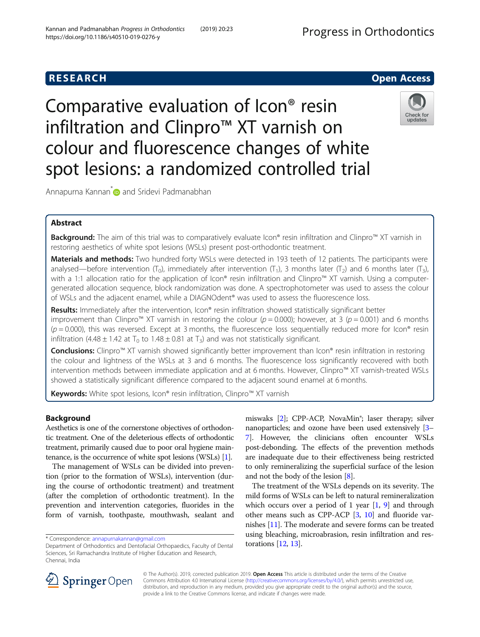Comparative evaluation of Icon® resin infiltration and Clinpro™ XT varnish on

colour and fluorescence changes of white spot lesions: a randomized controlled trial

Annapurna Kannan<sup>[\\*](http://orcid.org/0000-0002-2081-7160)</sup> and Sridevi Padmanabhan

Kannan and Padmanabhan Progress in Orthodontics (2019) 20:23

https://doi.org/10.1186/s40510-019-0276-y

# Abstract

Background: The aim of this trial was to comparatively evaluate Icon® resin infiltration and Clinpro™ XT varnish in restoring aesthetics of white spot lesions (WSLs) present post-orthodontic treatment.

Materials and methods: Two hundred forty WSLs were detected in 193 teeth of 12 patients. The participants were analysed—before intervention  $(T_0)$ , immediately after intervention  $(T_1)$ , 3 months later  $(T_2)$  and 6 months later  $(T_3)$ , with a 1:1 allocation ratio for the application of Icon® resin infiltration and Clinpro™ XT varnish. Using a computergenerated allocation sequence, block randomization was done. A spectrophotometer was used to assess the colour of WSLs and the adjacent enamel, while a DIAGNOdent® was used to assess the fluorescence loss.

Results: Immediately after the intervention, Icon® resin infiltration showed statistically significant better improvement than Clinpro™ XT varnish in restoring the colour ( $p = 0.000$ ); however, at 3 ( $p = 0.001$ ) and 6 months  $(p = 0.000)$ , this was reversed. Except at 3 months, the fluorescence loss sequentially reduced more for Icon® resin infiltration (4.48  $\pm$  1.42 at T<sub>0</sub> to 1.48  $\pm$  0.81 at T<sub>3</sub>) and was not statistically significant.

Conclusions: Clinpro™ XT varnish showed significantly better improvement than Icon® resin infiltration in restoring the colour and lightness of the WSLs at 3 and 6 months. The fluorescence loss significantly recovered with both intervention methods between immediate application and at 6 months. However, Clinpro™ XT varnish-treated WSLs showed a statistically significant difference compared to the adjacent sound enamel at 6 months.

> © The Author(s). 2019, corrected publication 2019. Open Access This article is distributed under the terms of the Creative Commons Attribution 4.0 International License [\(http://creativecommons.org/licenses/by/4.0/](http://creativecommons.org/licenses/by/4.0/)), which permits unrestricted use, distribution, and reproduction in any medium, provided you give appropriate credit to the original author(s) and the source,

provide a link to the Creative Commons license, and indicate if changes were made.

Keywords: White spot lesions, Icon® resin infiltration, Clinpro<sup>™</sup> XT varnish

# Background

Aesthetics is one of the cornerstone objectives of orthodontic treatment. One of the deleterious effects of orthodontic treatment, primarily caused due to poor oral hygiene maintenance, is the occurrence of white spot lesions (WSLs) [[1](#page-6-0)].

The management of WSLs can be divided into prevention (prior to the formation of WSLs), intervention (during the course of orthodontic treatment) and treatment (after the completion of orthodontic treatment). In the prevention and intervention categories, fluorides in the form of varnish, toothpaste, mouthwash, sealant and

\* Correspondence: [annapurnakannan@gmail.com](mailto:annapurnakannan@gmail.com)

miswaks [\[2\]](#page-6-0); CPP-ACP, NovaMin<sup>®</sup>; laser therapy; silver nanoparticles; and ozone have been used extensively [[3](#page-6-0)– [7\]](#page-6-0). However, the clinicians often encounter WSLs post-debonding. The effects of the prevention methods are inadequate due to their effectiveness being restricted to only remineralizing the superficial surface of the lesion and not the body of the lesion [\[8](#page-6-0)].

The treatment of the WSLs depends on its severity. The mild forms of WSLs can be left to natural remineralization which occurs over a period of 1 year [\[1](#page-6-0), [9\]](#page-6-0) and through other means such as CPP-ACP  $[3, 10]$  $[3, 10]$  $[3, 10]$  and fluoride varnishes [\[11\]](#page-6-0). The moderate and severe forms can be treated using bleaching, microabrasion, resin infiltration and restorations [\[12,](#page-6-0) [13](#page-6-0)].





Check for updates

Department of Orthodontics and Dentofacial Orthopaedics, Faculty of Dental Sciences, Sri Ramachandra Institute of Higher Education and Research, Chennai, India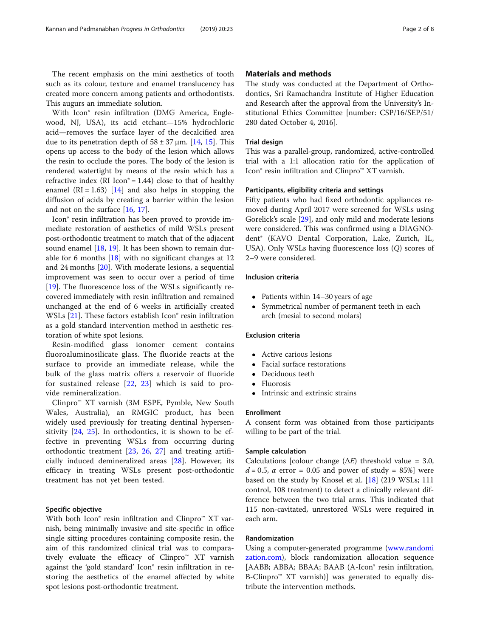The recent emphasis on the mini aesthetics of tooth such as its colour, texture and enamel translucency has created more concern among patients and orthodontists. This augurs an immediate solution.

With Icon® resin infiltration (DMG America, Englewood, NJ, USA), its acid etchant—15% hydrochloric acid—removes the surface layer of the decalcified area due to its penetration depth of  $58 \pm 37$  µm. [\[14](#page-6-0), [15](#page-6-0)]. This opens up access to the body of the lesion which allows the resin to occlude the pores. The body of the lesion is rendered watertight by means of the resin which has a refractive index (RI Icon® = 1.44) close to that of healthy enamel  $(RI = 1.63)$  [[14\]](#page-6-0) and also helps in stopping the diffusion of acids by creating a barrier within the lesion and not on the surface [[16](#page-6-0), [17](#page-6-0)].

Icon® resin infiltration has been proved to provide immediate restoration of aesthetics of mild WSLs present post-orthodontic treatment to match that of the adjacent sound enamel [[18,](#page-6-0) [19\]](#page-6-0). It has been shown to remain durable for 6 months  $[18]$  $[18]$  with no significant changes at 12 and 24 months [\[20\]](#page-6-0). With moderate lesions, a sequential improvement was seen to occur over a period of time [[19\]](#page-6-0). The fluorescence loss of the WSLs significantly recovered immediately with resin infiltration and remained unchanged at the end of 6 weeks in artificially created WSLs [\[21\]](#page-6-0). These factors establish Icon<sup>®</sup> resin infiltration as a gold standard intervention method in aesthetic restoration of white spot lesions.

Resin-modified glass ionomer cement contains fluoroaluminosilicate glass. The fluoride reacts at the surface to provide an immediate release, while the bulk of the glass matrix offers a reservoir of fluoride for sustained release [[22](#page-6-0), [23](#page-6-0)] which is said to provide remineralization.

Clinpro™ XT varnish (3M ESPE, Pymble, New South Wales, Australia), an RMGIC product, has been widely used previously for treating dentinal hypersensitivity [[24,](#page-6-0) [25](#page-6-0)]. In orthodontics, it is shown to be effective in preventing WSLs from occurring during orthodontic treatment [[23](#page-6-0), [26,](#page-6-0) [27\]](#page-6-0) and treating artificially induced demineralized areas [[28\]](#page-6-0). However, its efficacy in treating WSLs present post-orthodontic treatment has not yet been tested.

## Specific objective

With both Icon® resin infiltration and Clinpro™ XT varnish, being minimally invasive and site-specific in office single sitting procedures containing composite resin, the aim of this randomized clinical trial was to comparatively evaluate the efficacy of Clinpro™ XT varnish against the 'gold standard' Icon® resin infiltration in restoring the aesthetics of the enamel affected by white spot lesions post-orthodontic treatment.

### Materials and methods

The study was conducted at the Department of Orthodontics, Sri Ramachandra Institute of Higher Education and Research after the approval from the University's Institutional Ethics Committee [number: CSP/16/SEP/51/ 280 dated October 4, 2016].

### Trial design

This was a parallel-group, randomized, active-controlled trial with a 1:1 allocation ratio for the application of Icon® resin infiltration and Clinpro™ XT varnish.

### Participants, eligibility criteria and settings

Fifty patients who had fixed orthodontic appliances removed during April 2017 were screened for WSLs using Gorelick's scale [\[29](#page-6-0)], and only mild and moderate lesions were considered. This was confirmed using a DIAGNOdent® (KAVO Dental Corporation, Lake, Zurich, IL, USA). Only WSLs having fluorescence loss (Q) scores of 2–9 were considered.

### Inclusion criteria

- Patients within 14–30 years of age<br>• Symmetrical number of permanen
- Symmetrical number of permanent teeth in each arch (mesial to second molars)

### Exclusion criteria

- Active carious lesions
- Facial surface restorations
- Deciduous teeth
- Fluorosis
- Intrinsic and extrinsic strains

### Enrollment

A consent form was obtained from those participants willing to be part of the trial.

### Sample calculation

Calculations [colour change  $(\Delta E)$  threshold value = 3.0,  $d = 0.5$ ,  $\alpha$  error = 0.05 and power of study = 85%] were based on the study by Knosel et al. [[18](#page-6-0)] (219 WSLs; 111 control, 108 treatment) to detect a clinically relevant difference between the two trial arms. This indicated that 115 non-cavitated, unrestored WSLs were required in each arm.

### Randomization

Using a computer-generated programme [\(www.randomi](http://www.randomization.com) [zation.com\)](http://www.randomization.com), block randomization allocation sequence [AABB; ABBA; BBAA; BAAB (A-Icon® resin infiltration, B-Clinpro<sup> $M$ </sup> XT varnish) was generated to equally distribute the intervention methods.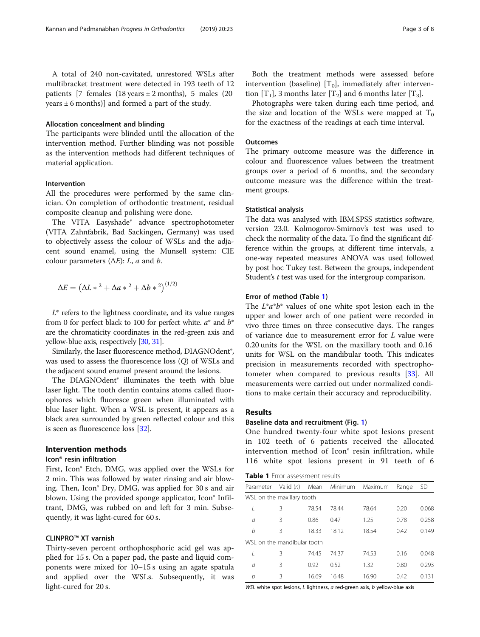A total of 240 non-cavitated, unrestored WSLs after multibracket treatment were detected in 193 teeth of 12 patients [7 females  $(18 \text{ years} \pm 2 \text{ months})$ , 5 males  $(20 \text{$ years  $\pm$  6 months)] and formed a part of the study.

### Allocation concealment and blinding

The participants were blinded until the allocation of the intervention method. Further blinding was not possible as the intervention methods had different techniques of material application.

### Intervention

All the procedures were performed by the same clinician. On completion of orthodontic treatment, residual composite cleanup and polishing were done.

The VITA Easyshade® advance spectrophotometer (VITA Zahnfabrik, Bad Sackingen, Germany) was used to objectively assess the colour of WSLs and the adjacent sound enamel, using the Munsell system: CIE colour parameters  $(\Delta E)$ : L, a and b.

$$
\Delta E = (\Delta L * ^2 + \Delta a * ^2 + \Delta b * ^2)^{(1/2)}
$$

 $L^*$  refers to the lightness coordinate, and its value ranges from 0 for perfect black to 100 for perfect white.  $a^*$  and  $b^*$ are the chromaticity coordinates in the red-green axis and yellow-blue axis, respectively [[30](#page-6-0), [31](#page-6-0)].

Similarly, the laser fluorescence method, DIAGNOdent®, was used to assess the fluorescence loss (Q) of WSLs and the adjacent sound enamel present around the lesions.

The DIAGNOdent® illuminates the teeth with blue laser light. The tooth dentin contains atoms called fluorophores which fluoresce green when illuminated with blue laser light. When a WSL is present, it appears as a black area surrounded by green reflected colour and this is seen as fluorescence loss [\[32\]](#page-6-0).

### Intervention methods

### Icon® resin infiltration

First, Icon® Etch, DMG, was applied over the WSLs for 2 min. This was followed by water rinsing and air blowing. Then, Icon® Dry, DMG, was applied for 30 s and air blown. Using the provided sponge applicator, Icon<sup>®</sup> Infiltrant, DMG, was rubbed on and left for 3 min. Subsequently, it was light-cured for 60 s.

### CLINPRO™ XT varnish

Thirty-seven percent orthophosphoric acid gel was applied for 15 s. On a paper pad, the paste and liquid components were mixed for 10–15 s using an agate spatula and applied over the WSLs. Subsequently, it was light-cured for 20 s.

Both the treatment methods were assessed before intervention (baseline)  $[T_0]$ , immediately after intervention  $[T_1]$ , 3 months later  $[T_2]$  and 6 months later  $[T_3]$ .

Photographs were taken during each time period, and the size and location of the WSLs were mapped at  $T_0$ for the exactness of the readings at each time interval.

### **Outcomes**

The primary outcome measure was the difference in colour and fluorescence values between the treatment groups over a period of 6 months, and the secondary outcome measure was the difference within the treatment groups.

### Statistical analysis

The data was analysed with IBM.SPSS statistics software, version 23.0. Kolmogorov-Smirnov's test was used to check the normality of the data. To find the significant difference within the groups, at different time intervals, a one-way repeated measures ANOVA was used followed by post hoc Tukey test. Between the groups, independent Student's t test was used for the intergroup comparison.

### Error of method (Table 1)

The  $L^*a^*b^*$  values of one white spot lesion each in the upper and lower arch of one patient were recorded in vivo three times on three consecutive days. The ranges of variance due to measurement error for L value were 0.20 units for the WSL on the maxillary tooth and 0.16 units for WSL on the mandibular tooth. This indicates precision in measurements recorded with spectrophotometer when compared to previous results [[33\]](#page-6-0). All measurements were carried out under normalized conditions to make certain their accuracy and reproducibility.

# Results

### Baseline data and recruitment (Fig. [1\)](#page-3-0)

One hundred twenty-four white spot lesions present in 102 teeth of 6 patients received the allocated intervention method of Icon® resin infiltration, while 116 white spot lesions present in 91 teeth of 6

|  | Table 1 Error assessment results |  |
|--|----------------------------------|--|
|  |                                  |  |

| Parameter                   | Valid $(n)$                | Mean  | Minimum | Maximum | Range | <b>SD</b> |  |  |
|-----------------------------|----------------------------|-------|---------|---------|-------|-----------|--|--|
|                             | WSL on the maxillary tooth |       |         |         |       |           |  |  |
| I                           | 3                          | 78.54 | 78.44   | 78.64   | 0.20  | 0.068     |  |  |
| a                           | 3                          | 0.86  | 0.47    | 1.25    | 0.78  | 0.258     |  |  |
| b                           | 3                          | 18.33 | 18.12   | 18.54   | 0.42  | 0.149     |  |  |
| WSL on the mandibular tooth |                            |       |         |         |       |           |  |  |
|                             | 3                          | 74.45 | 74.37   | 74.53   | 0.16  | 0.048     |  |  |
| $\sigma$                    | 3                          | 0.92  | 0.52    | 1.32    | 0.80  | 0.293     |  |  |
| h                           | 3                          | 16.69 | 16.48   | 16.90   | 0.42  | 0.131     |  |  |

WSL white spot lesions, L lightness, a red-green axis, b yellow-blue axis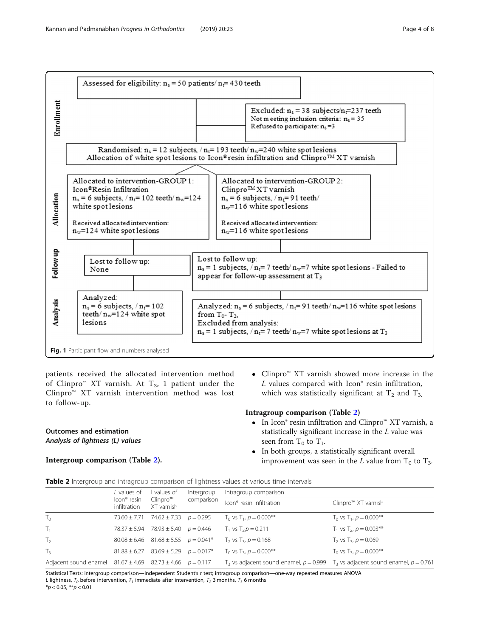<span id="page-3-0"></span>

patients received the allocated intervention method of Clinpro<sup>m</sup> XT varnish. At  $T_3$ , 1 patient under the Clinpro™ XT varnish intervention method was lost to follow-up.

# Outcomes and estimation Analysis of lightness (L) values

# Intergroup comparison (Table 2).

 Clinpro™ XT varnish showed more increase in the  $L$  values compared with Icon $°$  resin infiltration, which was statistically significant at  $T_2$  and  $T_3$ .

- In Icon® resin infiltration and Clinpro™ XT varnish, a statistically significant increase in the L value was seen from  $T_0$  to  $T_1$ .
	- In both groups, a statistically significant overall improvement was seen in the L value from  $T_0$  to  $T_3$ .

|                                                                     | L values of                             | values of                                       | Intergroup | Intragroup comparison                |                                                                                         |
|---------------------------------------------------------------------|-----------------------------------------|-------------------------------------------------|------------|--------------------------------------|-----------------------------------------------------------------------------------------|
|                                                                     | Icon <sup>®</sup> resin<br>infiltration | $Clinpro^m$<br>XT varnish                       | comparison | Icon <sup>®</sup> resin infiltration | Clinpro™ XT varnish                                                                     |
| $T_{0}$                                                             | $73.60 \pm 7.71$                        | $74.62 \pm 7.33$ $p = 0.295$                    |            | $T_0$ vs $T_1$ , $p = 0.000$ **      | $T_0$ vs $T_1$ , $p = 0.000$ **                                                         |
| $T_1$                                                               |                                         | $78.37 \pm 5.94$ $78.93 \pm 5.40$ $p = 0.446$   |            | $T_1$ vs $T_2$ , $p = 0.211$         | $T_1$ vs $T_2$ , $p = 0.003$ **                                                         |
| T <sub>2</sub>                                                      |                                         | $80.08 \pm 6.46$ $81.68 \pm 5.55$ $p = 0.041*$  |            | $T_2$ vs $T_3$ , $p = 0.168$         | $T_2$ vs $T_3$ , $p = 0.069$                                                            |
| $T_3$                                                               |                                         | $81.88 \pm 6.27$ $83.69 \pm 5.29$ $p = 0.017$ * |            | $T_0$ vs $T_3$ , $p = 0.000$ **      | $T_0$ vs $T_3$ , $p = 0.000$ **                                                         |
| Adjacent sound enamel $81.67 \pm 4.69$ $82.73 \pm 4.66$ $p = 0.117$ |                                         |                                                 |            |                                      | $T_3$ vs adjacent sound enamel, $p = 0.999$ $T_3$ vs adjacent sound enamel, $p = 0.761$ |

Statistical Tests: intergroup comparison—independent Student's t test; intragroup comparison—one-way repeated measures ANOVA L lightness,  $T_0$  before intervention,  $T_1$  immediate after intervention,  $T_2$  3 months,  $T_3$  6 months

 $*p < 0.05, **p < 0.01$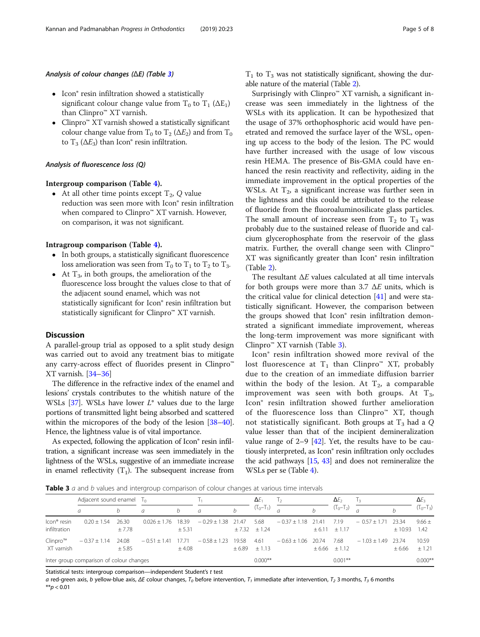### Analysis of colour changes (ΔE) (Table 3)

- Icon® resin infiltration showed a statistically significant colour change value from  $T_0$  to  $T_1$  ( $\Delta E_1$ ) than Clinpro™ XT varnish.
- Clinpro™ XT varnish showed a statistically significant colour change value from  $T_0$  to  $T_2$  ( $\Delta E_2$ ) and from  $T_0$ to  $T_3$  ( $\Delta E_3$ ) than Icon<sup>®</sup> resin infiltration.

### Analysis of fluorescence loss (Q)

• At all other time points except  $T_2$ , Q value reduction was seen more with Icon® resin infiltration when compared to Clinpro™ XT varnish. However, on comparison, it was not significant.

- Intragroup comparison (Table [4\)](#page-5-0). In both groups, a statistically significant fluorescence loss amelioration was seen from  $T_0$  to  $T_1$  to  $T_2$  to  $T_3$ .
	- At  $T_3$ , in both groups, the amelioration of the fluorescence loss brought the values close to that of the adjacent sound enamel, which was not statistically significant for Icon® resin infiltration but statistically significant for Clinpro™ XT varnish.

### **Discussion**

A parallel-group trial as opposed to a split study design was carried out to avoid any treatment bias to mitigate any carry-across effect of fluorides present in Clinpro™ XT varnish. [\[34](#page-6-0)–[36\]](#page-7-0)

The difference in the refractive index of the enamel and lesions' crystals contributes to the whitish nature of the WSLs  $[37]$  $[37]$  $[37]$ . WSLs have lower  $L^*$  values due to the large portions of transmitted light being absorbed and scattered within the micropores of the body of the lesion [\[38](#page-7-0)–[40](#page-7-0)]. Hence, the lightness value is of vital importance.

As expected, following the application of Icon<sup>®</sup> resin infiltration, a significant increase was seen immediately in the lightness of the WSLs, suggestive of an immediate increase in enamel reflectivity  $(T_1)$ . The subsequent increase from  $T_1$  to  $T_3$  was not statistically significant, showing the durable nature of the material (Table [2](#page-3-0)).

Surprisingly with Clinpro™  $XT$  varnish, a significant increase was seen immediately in the lightness of the WSLs with its application. It can be hypothesized that the usage of 37% orthophosphoric acid would have penetrated and removed the surface layer of the WSL, opening up access to the body of the lesion. The PC would have further increased with the usage of low viscous resin HEMA. The presence of Bis-GMA could have enhanced the resin reactivity and reflectivity, aiding in the immediate improvement in the optical properties of the WSLs. At  $T<sub>2</sub>$ , a significant increase was further seen in the lightness and this could be attributed to the release of fluoride from the fluoroaluminosilicate glass particles. The small amount of increase seen from  $T_2$  to  $T_3$  was probably due to the sustained release of fluoride and calcium glycerophosphate from the reservoir of the glass matrix. Further, the overall change seen with Clinpro™ XT was significantly greater than Icon® resin infiltration (Table [2\)](#page-3-0).

The resultant  $\Delta E$  values calculated at all time intervals for both groups were more than 3.7  $\Delta E$  units, which is the critical value for clinical detection [[41\]](#page-7-0) and were statistically significant. However, the comparison between the groups showed that Icon® resin infiltration demonstrated a significant immediate improvement, whereas the long-term improvement was more significant with Clinpro™ XT varnish (Table 3).

Icon® resin infiltration showed more revival of the lost fluorescence at  $T_1$  than Clinpro™ XT, probably due to the creation of an immediate diffusion barrier within the body of the lesion. At  $T_2$ , a comparable improvement was seen with both groups. At  $T_3$ , Icon® resin infiltration showed further amelioration of the fluorescence loss than Clinpro™ XT, though not statistically significant. Both groups at  $T_3$  had a Q value lesser than that of the incipient demineralization value range of  $2-9$  [\[42](#page-7-0)]. Yet, the results have to be cautiously interpreted, as Icon® resin infiltration only occludes the acid pathways [\[15,](#page-6-0) [43](#page-7-0)] and does not remineralize the WSLs per se (Table [4\)](#page-5-0).

Table 3 a and b values and intergroup comparison of colour changes at various time intervals

|                                         | Adjacent sound enamel $T_0$              |                 |                  |                 |                  |                 | $\Delta F_1$                  |                        | $\Delta E_2$ |                             |                  | $\Delta E_3$     |                    |
|-----------------------------------------|------------------------------------------|-----------------|------------------|-----------------|------------------|-----------------|-------------------------------|------------------------|--------------|-----------------------------|------------------|------------------|--------------------|
|                                         | $\overline{a}$                           |                 | $\overline{a}$   |                 | $\sigma$         |                 | $(T_0-T_1)$                   |                        |              | $(1_0-1_2)$                 |                  |                  | $(T_0-T_3)$        |
| Icon <sup>®</sup> resin<br>infiltration | $0.20 \pm 1.54$                          | 26.30<br>± 7.78 | $0.026 \pm 1.76$ | 18.39<br>± 5.31 | $-0.29 \pm 1.38$ | 21.47           | 5.68<br>$\pm 7.32$ $\pm 1.24$ | $-0.37 \pm 1.18$ 21.41 |              | 7.19<br>$\pm 6.11 \pm 1.17$ | $-0.57 \pm 1.71$ | 23.34<br>± 10.93 | $9.66 \pm$<br>1.42 |
| Clinpro™<br>XT varnish                  | $-0.37 \pm 1.14$                         | 24.08<br>± 5.85 | $-0.51 \pm 1.41$ | 17.71<br>±4.08  | $-0.58 + 1.23$   | 19.58<br>± 6.89 | 4.61<br>$+1.13$               | $-0.63 \pm 1.06$       | 20.74        | 7.68<br>$\pm 6.66 \pm 1.12$ | $-1.03 + 1.49$   | 23.74<br>± 6.66  | 10.59<br>± 1.21    |
|                                         | Inter group comparison of colour changes |                 |                  |                 |                  |                 | $0.000**$                     |                        |              | $0.001**$                   |                  |                  | $0.000**$          |

Statistical tests: intergroup comparison—independent Student's t test

a red-green axis, b yellow-blue axis, ΔE colour changes,  $T_0$  before intervention,  $T_1$  immediate after intervention,  $T_2$  3 months,  $T_3$  6 months  $*$  $p$  < 0.01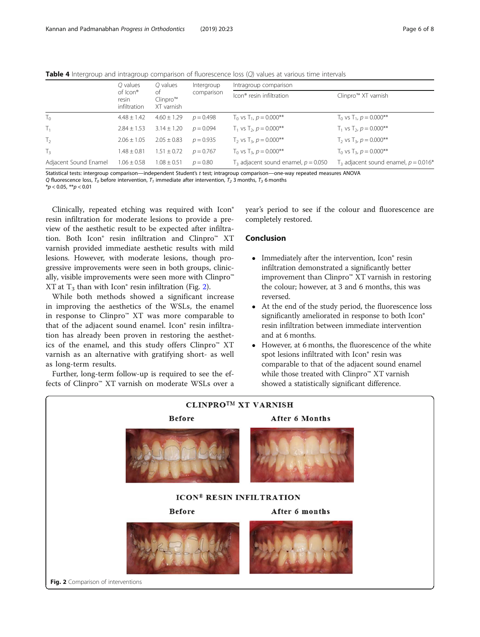<span id="page-5-0"></span>Table 4 Intergroup and intragroup comparison of fluorescence loss (Q) values at various time intervals

|                       | $O$ values                        | Q values<br>of<br>$Clinpro^m$<br>XT varnish | Intergroup  | Intragroup comparison                   |                                           |  |  |
|-----------------------|-----------------------------------|---------------------------------------------|-------------|-----------------------------------------|-------------------------------------------|--|--|
|                       | of Icon®<br>resin<br>infiltration |                                             | comparison  | Icon <sup>®</sup> resin infiltration    | Clinpro™ XT varnish                       |  |  |
| $T_0$                 | $4.48 \pm 1.42$                   | $4.60 \pm 1.29$                             | $p = 0.498$ | $T_0$ vs $T_1$ , $p = 0.000$ **         | $T_0$ vs $T_1$ , $p = 0.000$ **           |  |  |
| $T_1$                 | $2.84 \pm 1.53$                   | $3.14 \pm 1.20$                             | $p = 0.094$ | $T_1$ vs $T_2$ , $p = 0.000$ **         | $T_1$ vs $T_2$ , $p = 0.000$ **           |  |  |
| T <sub>2</sub>        | $2.06 \pm 1.05$                   | $2.05 \pm 0.83$                             | $p = 0.935$ | $T_2$ vs $T_3$ , $p = 0.000$ **         | $T_2$ vs $T_3$ , $p = 0.000$ **           |  |  |
| $T_3$                 | $1.48 \pm 0.81$                   | $1.51 \pm 0.72$                             | $p = 0.767$ | $T_0$ vs $T_3$ , $p = 0.000$ **         | $T_0$ vs $T_3$ , $p = 0.000$ **           |  |  |
| Adjacent Sound Enamel | $1.06 \pm 0.58$                   | $1.08 \pm 0.51$                             | $p = 0.80$  | $T3$ adjacent sound enamel, $p = 0.050$ | $T_3$ adjacent sound enamel, $p = 0.016*$ |  |  |

Statistical tests: intergroup comparison—independent Student's t test; intragroup comparison—one-way repeated measures ANOVA Q fluorescence loss,  $T_0$  before intervention,  $T_1$  immediate after intervention,  $T_2$  3 months,  $T_3$  6 months

 $*p < 0.05$ ,  $**p < 0.01$ 

Clinically, repeated etching was required with Icon® resin infiltration for moderate lesions to provide a preview of the aesthetic result to be expected after infiltration. Both Icon® resin infiltration and Clinpro™ XT varnish provided immediate aesthetic results with mild lesions. However, with moderate lesions, though progressive improvements were seen in both groups, clinically, visible improvements were seen more with Clinpro™ XT at  $T_3$  than with Icon<sup>®</sup> resin infiltration (Fig. 2).

While both methods showed a significant increase in improving the aesthetics of the WSLs, the enamel in response to Clinpro™ XT was more comparable to that of the adjacent sound enamel. Icon® resin infiltration has already been proven in restoring the aesthetics of the enamel, and this study offers Clinpro™ XT varnish as an alternative with gratifying short- as well as long-term results.

Further, long-term follow-up is required to see the effects of Clinpro™ XT varnish on moderate WSLs over a year's period to see if the colour and fluorescence are completely restored.

# Conclusion

- Immediately after the intervention, Icon<sup>®</sup> resin infiltration demonstrated a significantly better improvement than Clinpro™ XT varnish in restoring the colour; however, at 3 and 6 months, this was reversed.
- At the end of the study period, the fluorescence loss significantly ameliorated in response to both Icon® resin infiltration between immediate intervention and at 6 months.
- However, at 6 months, the fluorescence of the white spot lesions infiltrated with Icon® resin was comparable to that of the adjacent sound enamel while those treated with Clinpro™ XT varnish showed a statistically significant difference.

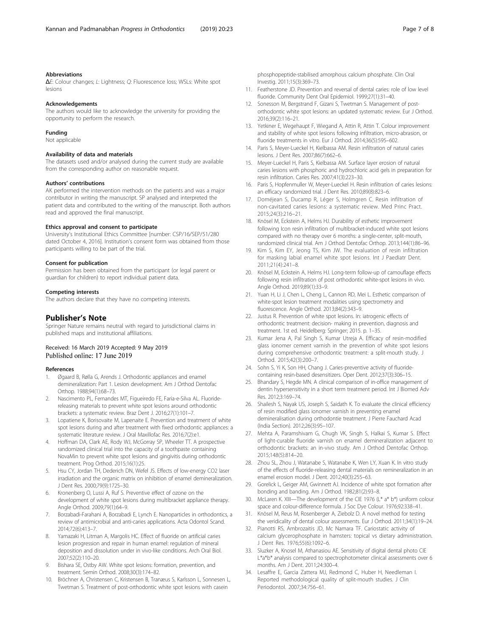### <span id="page-6-0"></span>Abbreviations

ΔE: Colour changes; L: Lightness; Q: Fluorescence loss; WSLs: White spot lesions

### Acknowledgements

The authors would like to acknowledge the university for providing the opportunity to perform the research.

### Funding

Not applicable

### Availability of data and materials

The datasets used and/or analysed during the current study are available from the corresponding author on reasonable request.

### Authors' contributions

AK performed the intervention methods on the patients and was a major contributor in writing the manuscript. SP analysed and interpreted the patient data and contributed to the writing of the manuscript. Both authors read and approved the final manuscript.

### Ethics approval and consent to participate

University's Institutional Ethics Committee [number: CSP/16/SEP/51/280 dated October 4, 2016]. Institution's consent form was obtained from those participants willing to be part of the trial.

### Consent for publication

Permission has been obtained from the participant (or legal parent or guardian for children) to report individual patient data.

### Competing interests

The authors declare that they have no competing interests.

### Publisher's Note

Springer Nature remains neutral with regard to jurisdictional claims in published maps and institutional affiliations.

# Received: 16 March 2019 Accepted: 9 May 2019<br>Published online: 17 June 2019

### References

- 1. Øgaard B, Rølla G, Arends J. Orthodontic appliances and enamel demineralization: Part 1. Lesion development. Am J Orthod Dentofac Orthop. 1988;94(1):68–73.
- 2. Nascimento PL, Fernandes MT, Figueiredo FE, Faria-e-Silva AL. Fluoridereleasing materials to prevent white spot lesions around orthodontic brackets: a systematic review. Braz Dent J. 2016;27(1):101–7.
- 3. Lopatiene K, Borisovaite M, Lapenaite E. Prevention and treatment of white spot lesions during and after treatment with fixed orthodontic appliances: a systematic literature review. J Oral Maxillofac Res. 2016;7(2):e1.
- 4. Hoffman DA, Clark AE, Rody WJ, McGorray SP, Wheeler TT. A prospective randomized clinical trial into the capacity of a toothpaste containing NovaMin to prevent white spot lesions and gingivitis during orthodontic treatment. Prog Orthod. 2015;16(1):25.
- 5. Hsu CY, Jordan TH, Dederich DN, Wefel JS. Effects of low-energy CO2 laser irradiation and the organic matrix on inhibition of enamel demineralization. J Dent Res. 2000;79(9):1725–30.
- 6. Kronenberg O, Lussi A, Ruf S. Preventive effect of ozone on the development of white spot lesions during multibracket appliance therapy. Angle Orthod. 2009;79(1):64–9.
- 7. Borzabadi-Farahani A, Borzabadi E, Lynch E. Nanoparticles in orthodontics, a review of antimicrobial and anti-caries applications. Acta Odontol Scand. 2014;72(6):413–7.
- 8. Yamazaki H, Litman A, Margolis HC. Effect of fluoride on artificial caries lesion progression and repair in human enamel: regulation of mineral deposition and dissolution under in vivo-like conditions. Arch Oral Biol. 2007;52(2):110–20.
- Bishara SE, Ostby AW. White spot lesions: formation, prevention, and treatment. Semin Orthod. 2008;30(3):174–82.
- 10. Bröchner A, Christensen C, Kristensen B, Tranæus S, Karlsson L, Sonnesen L, Twetman S. Treatment of post-orthodontic white spot lesions with casein

phosphopeptide-stabilised amorphous calcium phosphate. Clin Oral Investig. 2011;15(3):369–73.

- 11. Featherstone JD. Prevention and reversal of dental caries: role of low level fluoride. Community Dent Oral Epidemiol. 1999;27(1):31–40.
- 12. Sonesson M, Bergstrand F, Gizani S, Twetman S. Management of postorthodontic white spot lesions: an updated systematic review. Eur J Orthod. 2016;39(2):116–21.
- 13. Yetkiner E, Wegehaupt F, Wiegand A, Attin R, Attin T. Colour improvement and stability of white spot lesions following infiltration, micro-abrasion, or fluoride treatments in vitro. Eur J Orthod. 2014;36(5):595–602.
- 14. Paris S, Meyer-Lueckel H, Kielbassa AM. Resin infiltration of natural caries lesions. J Dent Res. 2007;86(7):662–6.
- 15. Meyer-Lueckel H, Paris S, Kielbassa AM. Surface layer erosion of natural caries lesions with phosphoric and hydrochloric acid gels in preparation for resin infiltration. Caries Res. 2007;41(3):223–30.
- 16. Paris S, Hopfenmuller W, Meyer-Lueckel H. Resin infiltration of caries lesions: an efficacy randomized trial. J Dent Res. 2010;89(8):823–6.
- 17. Doméjean S, Ducamp R, Léger S, Holmgren C. Resin infiltration of non-cavitated caries lesions: a systematic review. Med Princ Pract. 2015;24(3):216–21.
- 18. Knösel M, Eckstein A, Helms HJ. Durability of esthetic improvement following Icon resin infiltration of multibracket-induced white spot lesions compared with no therapy over 6 months: a single-center, split-mouth, randomized clinical trial. Am J Orthod Dentofac Orthop. 2013;144(1):86–96.
- 19. Kim S, Kim EY, Jeong TS, Kim JW. The evaluation of resin infiltration for masking labial enamel white spot lesions. Int J Paediatr Dent. 2011;21(4):241–8.
- 20. Knösel M, Eckstein A, Helms HJ. Long-term follow-up of camouflage effects following resin infiltration of post orthodontic white-spot lesions in vivo. Angle Orthod. 2019;89(1):33–9.
- 21. Yuan H, Li J, Chen L, Cheng L, Cannon RD, Mei L. Esthetic comparison of white-spot lesion treatment modalities using spectrometry and fluorescence. Angle Orthod. 2013;84(2):343–9.
- 22. Justus R. Prevention of white spot lesions. In: iatrogenic effects of orthodontic treatment: decision- making in prevention, diagnosis and treatment. 1st ed. Heidelberg: Springer; 2015. p. 1–35.
- 23. Kumar Jena A, Pal Singh S, Kumar Utreja A. Efficacy of resin-modified glass ionomer cement varnish in the prevention of white spot lesions during comprehensive orthodontic treatment: a split-mouth study. J Orthod. 2015;42(3):200–7.
- 24. Sohn S, Yi K, Son HH, Chang J. Caries-preventive activity of fluoridecontaining resin-based desensitizers. Oper Dent. 2012;37(3):306–15.
- 25. Bhandary S, Hegde MN. A clinical comparison of in-office management of dentin hypersensitivity in a short term treatment period. Int J Biomed Adv Res. 2012;3:169–74.
- 26. Shailesh S, Nayak US, Joseph S, Saidath K. To evaluate the clinical efficiency of resin modified glass ionomer varnish in preventing enamel demineralisation during orthodontie treatment. J Pierre Fauchard Acad (India Section). 2012;26(3):95–107.
- 27. Mehta A, Paramshivam G, Chugh VK, Singh S, Halkai S, Kumar S. Effect of light-curable fluoride varnish on enamel demineralization adjacent to orthodontic brackets: an in-vivo study. Am J Orthod Dentofac Orthop. 2015;148(5):814–20.
- 28. Zhou SL, Zhou J, Watanabe S, Watanabe K, Wen LY, Xuan K. In vitro study of the effects of fluoride-releasing dental materials on remineralization in an enamel erosion model. J Dent. 2012;40(3):255–63.
- 29. Gorelick L, Geiger AM, Gwinnett AJ. Incidence of white spot formation after bonding and banding. Am J Orthod. 1982;81(2):93–8.
- 30. McLaren K. XIII—The development of the CIE 1976 (L\* a\* b\*) uniform colour space and colour-difference formula. J Soc Dye Colour. 1976;92:338–41.
- 31. Knösel M, Reus M, Rosenberger A, Ziebolz D. A novel method for testing the veridicality of dental colour assessments. Eur J Orthod. 2011;34(1):19–24.
- 32. Pianotti RS, Ambrozaitis JD, Mc Namara TF. Cariostatic activity of calcium glycerophosphate in hamsters: topical vs dietary administration. J Dent Res. 1976;55(6):1092–6.
- 33. Sluzker A, Knosel M, Athanasiou AE. Sensitivity of digital dental photo CIE L\*a\*b\* analysis compared to spectrophotometer clinical assessments over 6 months. Am J Dent. 2011;24:300–4.
- 34. Lesaffre E, Garcia Zattera MJ, Redmond C, Huber H, Needleman I. Reported methodological quality of split-mouth studies. J Clin Periodontol. 2007;34:756–61.